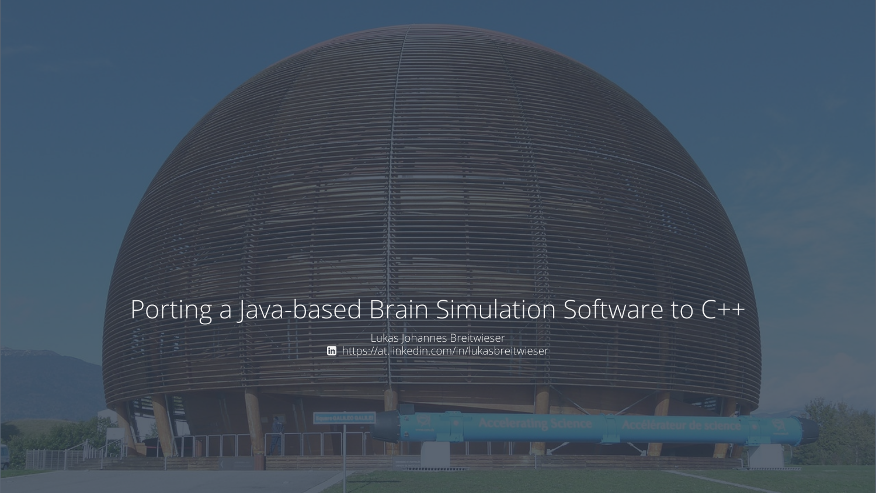### Porting a Java-based Brain Simulation Software to C++

Lukas Johannes Breitwieser https://at.linkedin.com/in/lukasbreitwieser

....................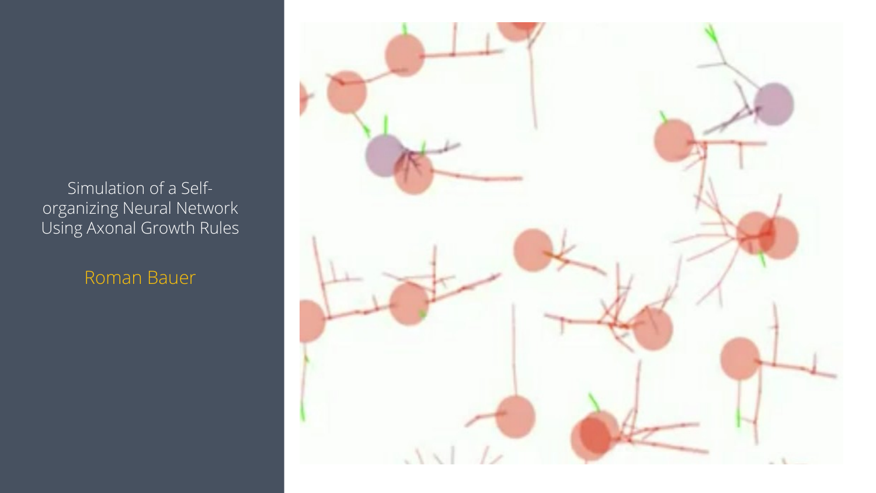Simulation of a Selforganizing Neural Network Using Axonal Growth Rules

Roman Bauer

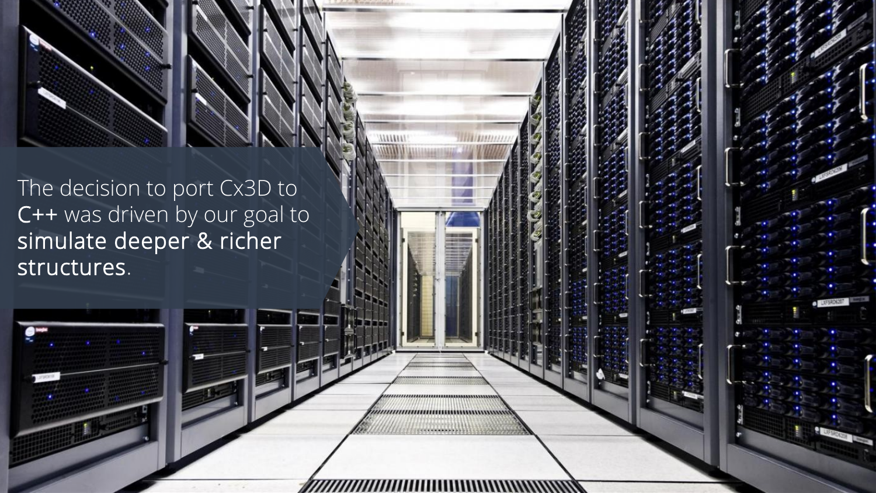The decision to port Cx3D to C++ was driven by our goal to simulate deeper & richer structures.

,,,,,,,,,,,,,,,,,,,,,,,,,,,,,,,,,,,,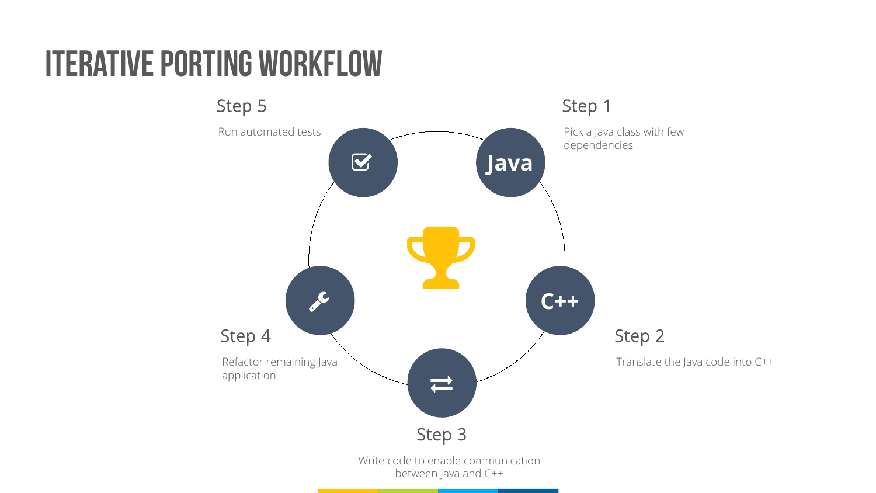## Iterative Porting Workflow

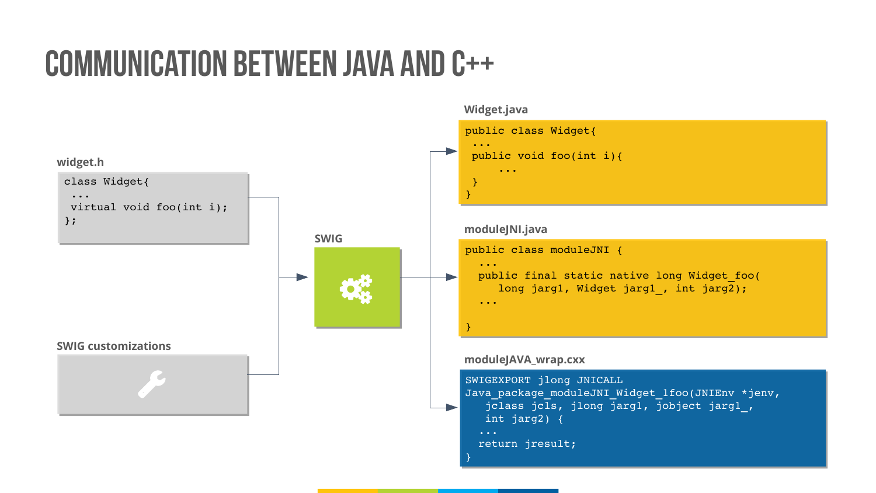## Communication between Java and C++

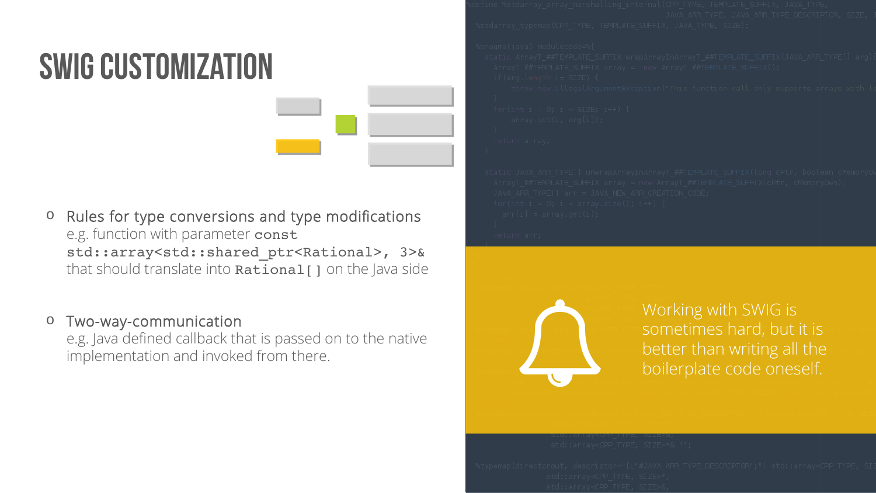# SWIG CuSTOMIZATION

o Rules for type conversions and type modifications e.g. function with parameter const std::array<std::shared\_ptr<Rational>, 3>& that should translate into  $Rational[]$  on the Java side

### o Two-way-communication

e.g. Java defined callback that is passed on to the native Two-way-communication<br>e.g. Java defined callback that is passed on to the native<br>implementation and invoked from there.



Working with SWIG is sometimes hard, but it is better than writing all the boilerplate code oneself.